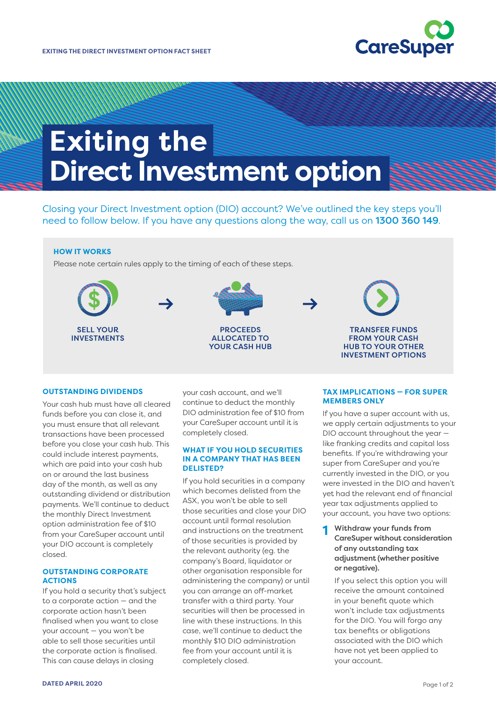

<u>Martin S</u>

# **Exiting the Direct Investment option**

Closing your Direct Investment option (DIO) account? We've outlined the key steps you'll need to follow below. If you have any questions along the way, call us on 1300 360 149.

## **HOW IT WORKS**

Please note certain rules apply to the timing of each of these steps.



#### **OUTSTANDING DIVIDENDS**

Your cash hub must have all cleared funds before you can close it, and you must ensure that all relevant transactions have been processed before you close your cash hub. This could include interest payments, which are paid into your cash hub on or around the last business day of the month, as well as any outstanding dividend or distribution payments. We'll continue to deduct the monthly Direct Investment option administration fee of \$10 from your CareSuper account until your DIO account is completely closed.

## **OUTSTANDING CORPORATE ACTIONS**

If you hold a security that's subject to a corporate action — and the corporate action hasn't been finalised when you want to close your account — you won't be able to sell those securities until the corporate action is finalised. This can cause delays in closing

your cash account, and we'll continue to deduct the monthly DIO administration fee of \$10 from your CareSuper account until it is completely closed.

#### **WHAT IF YOU HOLD SECURITIES IN A COMPANY THAT HAS BEEN DELISTED?**

If you hold securities in a company which becomes delisted from the ASX, you won't be able to sell those securities and close your DIO account until formal resolution and instructions on the treatment of those securities is provided by the relevant authority (eg. the company's Board, liquidator or other organisation responsible for administering the company) or until you can arrange an off-market transfer with a third party. Your securities will then be processed in line with these instructions. In this case, we'll continue to deduct the monthly \$10 DIO administration fee from your account until it is completely closed.

## **TAX IMPLICATIONS — FOR SUPER MEMBERS ONLY**

If you have a super account with us, we apply certain adjustments to your DIO account throughout the year like franking credits and capital loss benefits. If you're withdrawing your super from CareSuper and you're currently invested in the DIO, or you were invested in the DIO and haven't yet had the relevant end of financial year tax adjustments applied to your account, you have two options:

**1** Withdraw your funds from CareSuper without consideration of any outstanding tax adjustment (whether positive or negative).

 If you select this option you will receive the amount contained in your benefit quote which won't include tax adjustments for the DIO. You will forgo any tax benefits or obligations associated with the DIO which have not yet been applied to your account.